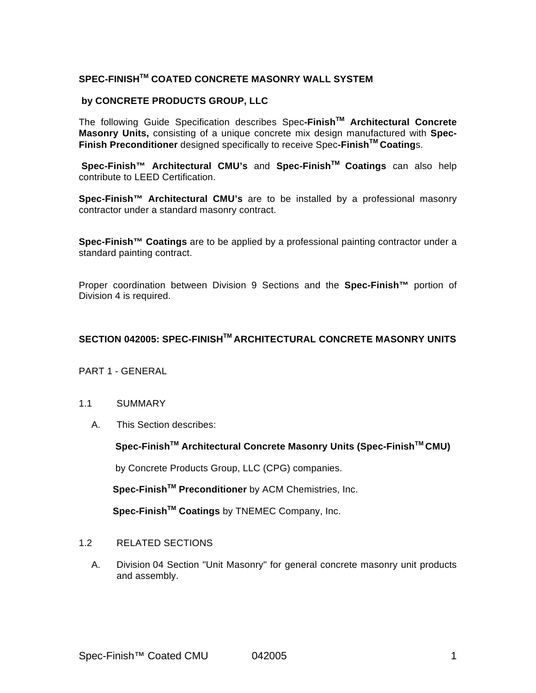# **SPEC-FINISHTM COATED CONCRETE MASONRY WALL SYSTEM**

## **by CONCRETE PRODUCTS GROUP, LLC**

The following Guide Specification describes Spec**-FinishTM Architectural Concrete Masonry Units,** consisting of a unique concrete mix design manufactured with **Spec-Finish Preconditioner** designed specifically to receive Spec**-FinishTM Coating**s.

**Spec-Finish™ Architectural CMU's** and **Spec-FinishTM Coatings** can also help contribute to LEED Certification.

**Spec-Finish™ Architectural CMU's** are to be installed by a professional masonry contractor under a standard masonry contract.

**Spec-Finish™ Coatings** are to be applied by a professional painting contractor under a standard painting contract.

Proper coordination between Division 9 Sections and the **Spec-Finish™** portion of Division 4 is required.

# **SECTION 042005: SPEC-FINISHTM ARCHITECTURAL CONCRETE MASONRY UNITS**

## PART 1 - GENERAL

#### 1.1 SUMMARY

A. This Section describes:

#### **Spec-FinishTM Architectural Concrete Masonry Units (Spec-FinishTM CMU)**

by Concrete Products Group, LLC (CPG) companies.

**Spec-FinishTM Preconditioner** by ACM Chemistries, Inc.

**Spec-FinishTM Coatings** by TNEMEC Company, Inc.

- 1.2 RELATED SECTIONS
	- A. Division 04 Section "Unit Masonry" for general concrete masonry unit products and assembly.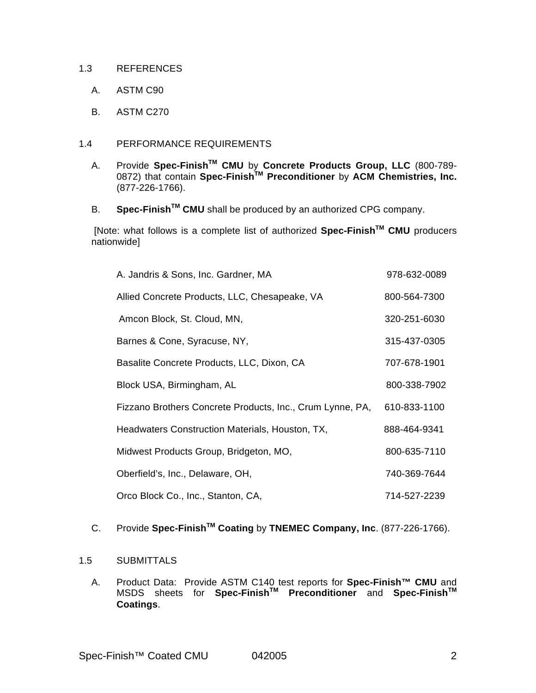#### 1.3 REFERENCES

- A. ASTM C90
- B. ASTM C270

## 1.4 PERFORMANCE REQUIREMENTS

- A. Provide **Spec-FinishTM CMU** by **Concrete Products Group, LLC** (800-789- 0872) that contain **Spec-FinishTM Preconditioner** by **ACM Chemistries, Inc.**  (877-226-1766).
- B. **Spec-FinishTM CMU** shall be produced by an authorized CPG company.

 [Note: what follows is a complete list of authorized **Spec-FinishTM CMU** producers nationwide]

| A. Jandris & Sons, Inc. Gardner, MA                       | 978-632-0089 |
|-----------------------------------------------------------|--------------|
| Allied Concrete Products, LLC, Chesapeake, VA             | 800-564-7300 |
| Amcon Block, St. Cloud, MN,                               | 320-251-6030 |
| Barnes & Cone, Syracuse, NY,                              | 315-437-0305 |
| Basalite Concrete Products, LLC, Dixon, CA                | 707-678-1901 |
| Block USA, Birmingham, AL                                 | 800-338-7902 |
| Fizzano Brothers Concrete Products, Inc., Crum Lynne, PA, | 610-833-1100 |
| Headwaters Construction Materials, Houston, TX,           | 888-464-9341 |
| Midwest Products Group, Bridgeton, MO,                    | 800-635-7110 |
| Oberfield's, Inc., Delaware, OH,                          | 740-369-7644 |
| Orco Block Co., Inc., Stanton, CA,                        | 714-527-2239 |

# C. Provide **Spec-FinishTM Coating** by **TNEMEC Company, Inc**. (877-226-1766).

## 1.5 SUBMITTALS

A. Product Data: Provide ASTM C140 test reports for **Spec-Finish™ CMU** and MSDS sheets for **Spec-FinishTM Preconditioner** and **Spec-FinishTM Coatings**.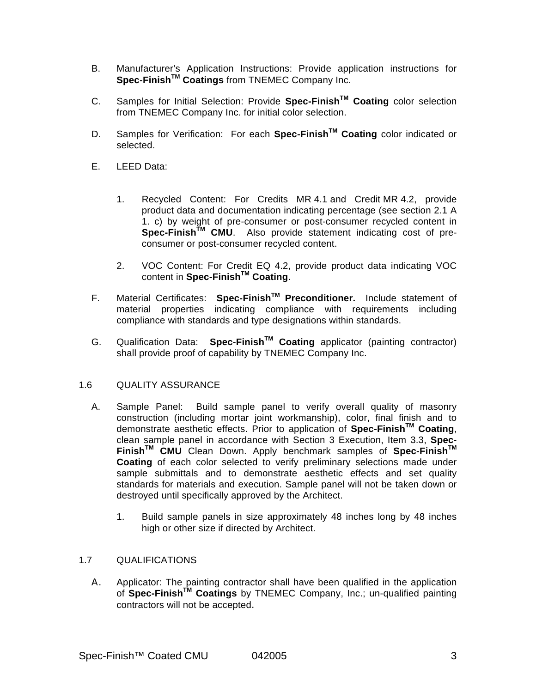- B. Manufacturer's Application Instructions: Provide application instructions for **Spec-FinishTM Coatings** from TNEMEC Company Inc.
- C. Samples for Initial Selection: Provide **Spec-FinishTM Coating** color selection from TNEMEC Company Inc. for initial color selection.
- D. Samples for Verification: For each **Spec-FinishTM Coating** color indicated or selected.
- E. LEED Data:
	- 1. Recycled Content: For Credits MR 4.1 and Credit MR 4.2, provide product data and documentation indicating percentage (see section 2.1 A 1. c) by weight of pre-consumer or post-consumer recycled content in **Spec-FinishTM CMU**. Also provide statement indicating cost of preconsumer or post-consumer recycled content.
	- 2. VOC Content: For Credit EQ 4.2, provide product data indicating VOC content in **Spec-FinishTM Coating**.
- F. Material Certificates: **Spec-FinishTM Preconditioner.** Include statement of material properties indicating compliance with requirements including compliance with standards and type designations within standards.
- G. Qualification Data: **Spec-FinishTM Coating** applicator (painting contractor) shall provide proof of capability by TNEMEC Company Inc.

## 1.6 QUALITY ASSURANCE

- A. Sample Panel: Build sample panel to verify overall quality of masonry construction (including mortar joint workmanship), color, final finish and to demonstrate aesthetic effects. Prior to application of **Spec-FinishTM Coating**, clean sample panel in accordance with Section 3 Execution, Item 3.3, **Spec-FinishTM CMU** Clean Down. Apply benchmark samples of **Spec-FinishTM Coating** of each color selected to verify preliminary selections made under sample submittals and to demonstrate aesthetic effects and set quality standards for materials and execution. Sample panel will not be taken down or destroyed until specifically approved by the Architect.
	- 1. Build sample panels in size approximately 48 inches long by 48 inches high or other size if directed by Architect.

#### 1.7 QUALIFICATIONS

A. Applicator: The painting contractor shall have been qualified in the application of **Spec-FinishTM Coatings** by TNEMEC Company, Inc.; un-qualified painting contractors will not be accepted.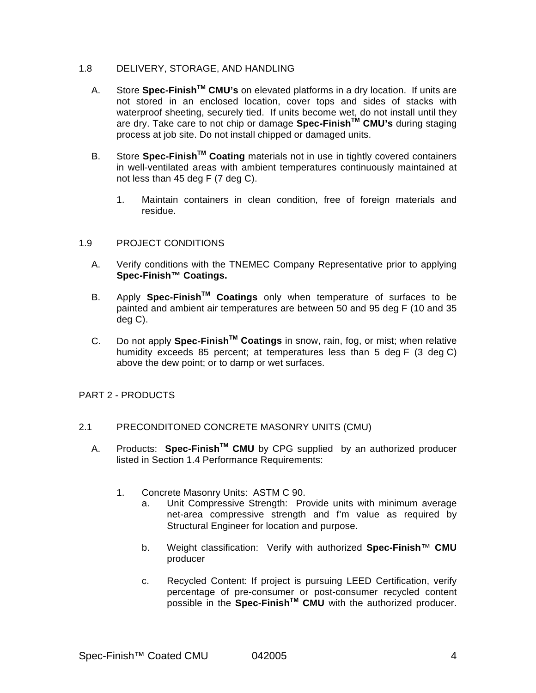## 1.8 DELIVERY, STORAGE, AND HANDLING

- A. Store **Spec-FinishTM CMU's** on elevated platforms in a dry location. If units are not stored in an enclosed location, cover tops and sides of stacks with waterproof sheeting, securely tied. If units become wet, do not install until they are dry. Take care to not chip or damage **Spec-FinishTM CMU's** during staging process at job site. Do not install chipped or damaged units.
- B. Store **Spec-FinishTM Coating** materials not in use in tightly covered containers in well-ventilated areas with ambient temperatures continuously maintained at not less than 45 deg F (7 deg C).
	- 1. Maintain containers in clean condition, free of foreign materials and residue.

## 1.9 PROJECT CONDITIONS

- A. Verify conditions with the TNEMEC Company Representative prior to applying **Spec-Finish™ Coatings.**
- B. Apply **Spec-FinishTM Coatings** only when temperature of surfaces to be painted and ambient air temperatures are between 50 and 95 deg F (10 and 35 deg C).
- C. Do not apply **Spec-FinishTM Coatings** in snow, rain, fog, or mist; when relative humidity exceeds 85 percent; at temperatures less than 5 deg F (3 deg C) above the dew point; or to damp or wet surfaces.

## PART 2 - PRODUCTS

#### 2.1 PRECONDITONED CONCRETE MASONRY UNITS (CMU)

- A. Products: **Spec-FinishTM CMU** by CPG supplied by an authorized producer listed in Section 1.4 Performance Requirements:
	- 1. Concrete Masonry Units: ASTM C 90.
		- a. Unit Compressive Strength: Provide units with minimum average net-area compressive strength and f'm value as required by Structural Engineer for location and purpose.
		- b. Weight classification: Verify with authorized **Spec-Finish**™ **CMU** producer
		- c. Recycled Content: If project is pursuing LEED Certification, verify percentage of pre-consumer or post-consumer recycled content possible in the **Spec-FinishTM CMU** with the authorized producer.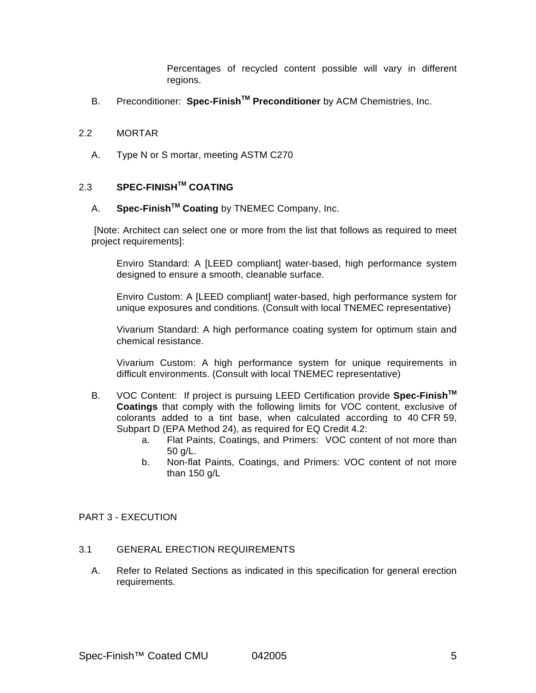Percentages of recycled content possible will vary in different regions.

B. Preconditioner: **Spec-FinishTM Preconditioner** by ACM Chemistries, Inc.

#### 2.2 MORTAR

A. Type N or S mortar, meeting ASTM C270

# 2.3 **SPEC-FINISHTM COATING**

# A. **Spec-FinishTM Coating** by TNEMEC Company, Inc.

 [Note: Architect can select one or more from the list that follows as required to meet project requirements]:

Enviro Standard: A [LEED compliant] water-based, high performance system designed to ensure a smooth, cleanable surface.

Enviro Custom: A [LEED compliant] water-based, high performance system for unique exposures and conditions. (Consult with local TNEMEC representative)

Vivarium Standard: A high performance coating system for optimum stain and chemical resistance.

Vivarium Custom: A high performance system for unique requirements in difficult environments. (Consult with local TNEMEC representative)

- B. VOC Content: If project is pursuing LEED Certification provide **Spec-FinishTM Coatings** that comply with the following limits for VOC content, exclusive of colorants added to a tint base, when calculated according to 40 CFR 59, Subpart D (EPA Method 24), as required for EQ Credit 4.2:
	- a. Flat Paints, Coatings, and Primers: VOC content of not more than 50 g/L.
	- b. Non-flat Paints, Coatings, and Primers: VOC content of not more than 150 g/L

#### PART 3 - EXECUTION

## 3.1 GENERAL ERECTION REQUIREMENTS

A. Refer to Related Sections as indicated in this specification for general erection requirements.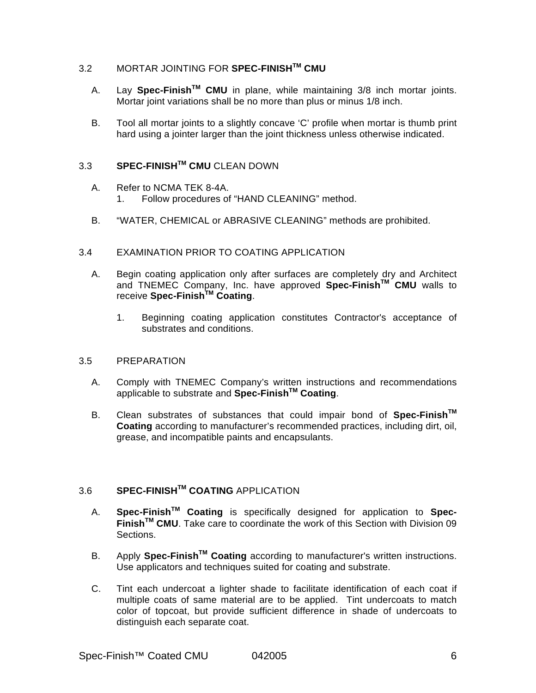# 3.2 MORTAR JOINTING FOR **SPEC-FINISHTM CMU**

- A. Lay **Spec-FinishTM CMU** in plane, while maintaining 3/8 inch mortar joints. Mortar joint variations shall be no more than plus or minus 1/8 inch.
- B. Tool all mortar joints to a slightly concave 'C' profile when mortar is thumb print hard using a jointer larger than the joint thickness unless otherwise indicated.

# 3.3 **SPEC-FINISHTM CMU** CLEAN DOWN

- A. Refer to NCMA TEK 8-4A. 1. Follow procedures of "HAND CLEANING" method.
- B. "WATER, CHEMICAL or ABRASIVE CLEANING" methods are prohibited.
- 3.4 EXAMINATION PRIOR TO COATING APPLICATION
	- A. Begin coating application only after surfaces are completely dry and Architect and TNEMEC Company, Inc. have approved **Spec-FinishTM CMU** walls to receive **Spec-FinishTM Coating**.
		- 1. Beginning coating application constitutes Contractor's acceptance of substrates and conditions.

#### 3.5 PREPARATION

- A. Comply with TNEMEC Company's written instructions and recommendations applicable to substrate and **Spec-FinishTM Coating**.
- B. Clean substrates of substances that could impair bond of **Spec-FinishTM Coating** according to manufacturer's recommended practices, including dirt, oil, grease, and incompatible paints and encapsulants.

# 3.6 **SPEC-FINISHTM COATING** APPLICATION

- A. **Spec-FinishTM Coating** is specifically designed for application to **Spec-FinishTM CMU**. Take care to coordinate the work of this Section with Division 09 Sections.
- B. Apply **Spec-FinishTM Coating** according to manufacturer's written instructions. Use applicators and techniques suited for coating and substrate.
- C. Tint each undercoat a lighter shade to facilitate identification of each coat if multiple coats of same material are to be applied. Tint undercoats to match color of topcoat, but provide sufficient difference in shade of undercoats to distinguish each separate coat.